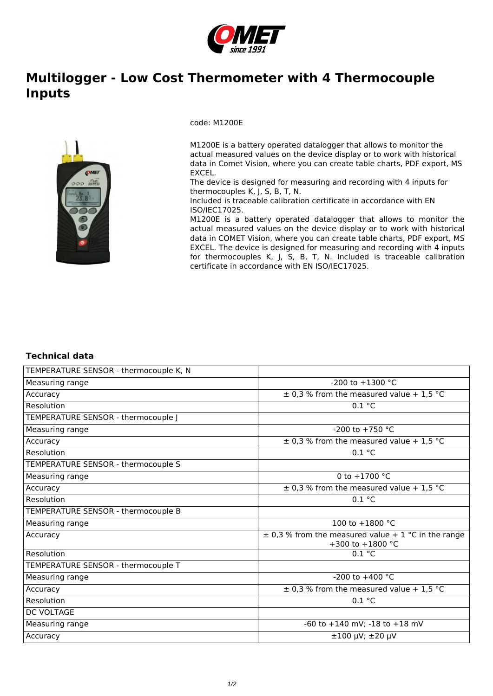

## **Multilogger - Low Cost Thermometer with 4 Thermocouple Inputs**



code: M1200E

M1200E is a battery operated datalogger that allows to monitor the actual measured values on the device display or to work with historical data in Comet Vision, where you can create table charts, PDF export, MS EXCEL.

The device is designed for measuring and recording with 4 inputs for thermocouples K, J, S, B, T, N.

Included is traceable calibration certificate in accordance with EN ISO/IEC17025.

M1200E is a battery operated datalogger that allows to monitor the actual measured values on the device display or to work with historical data in COMET Vision, where you can create table charts, PDF export, MS EXCEL. The device is designed for measuring and recording with 4 inputs for thermocouples K, J, S, B, T, N. Included is traceable calibration certificate in accordance with EN ISO/IEC17025.

## **Technical data**

| TEMPERATURE SENSOR - thermocouple K, N |                                                                                       |
|----------------------------------------|---------------------------------------------------------------------------------------|
| Measuring range                        | $-200$ to $+1300$ °C                                                                  |
| Accuracy                               | $\pm$ 0.3 % from the measured value + 1.5 °C                                          |
| Resolution                             | 0.1 °C                                                                                |
| TEMPERATURE SENSOR - thermocouple J    |                                                                                       |
| Measuring range                        | -200 to $+750$ °C                                                                     |
| Accuracy                               | $\pm$ 0,3 % from the measured value + 1,5 °C                                          |
| Resolution                             | 0.1 °C                                                                                |
| TEMPERATURE SENSOR - thermocouple S    |                                                                                       |
| Measuring range                        | 0 to +1700 °C                                                                         |
| Accuracy                               | $\pm$ 0,3 % from the measured value + 1,5 °C                                          |
| Resolution                             | 0.1 °C                                                                                |
| TEMPERATURE SENSOR - thermocouple B    |                                                                                       |
| Measuring range                        | 100 to $+1800$ °C                                                                     |
| Accuracy                               | $\pm$ 0,3 % from the measured value + 1 °C in the range<br>+300 to +1800 $^{\circ}$ C |
| Resolution                             | 0.1 °C                                                                                |
| TEMPERATURE SENSOR - thermocouple T    |                                                                                       |
| Measuring range                        | -200 to $+400$ °C                                                                     |
| Accuracy                               | $\pm$ 0,3 % from the measured value + 1,5 °C                                          |
| Resolution                             | 0.1 °C                                                                                |
| <b>DC VOLTAGE</b>                      |                                                                                       |
| Measuring range                        | -60 to +140 mV; -18 to +18 mV                                                         |
| Accuracy                               | $±100 \mu V; ±20 \mu V$                                                               |